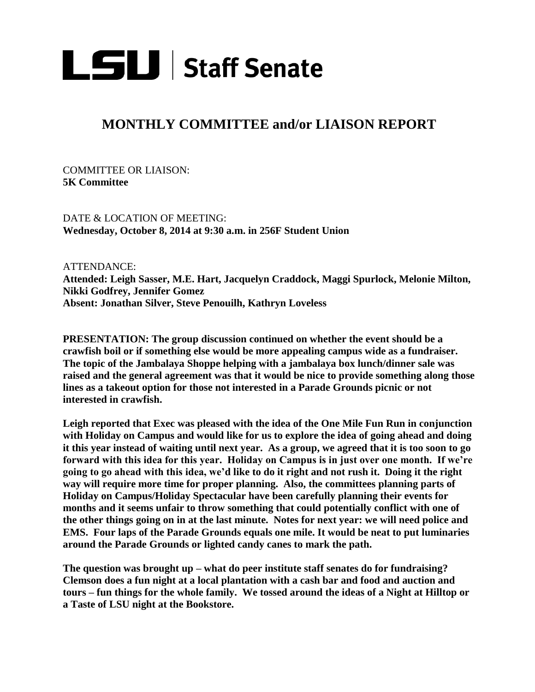

## **MONTHLY COMMITTEE and/or LIAISON REPORT**

COMMITTEE OR LIAISON: **5K Committee**

DATE & LOCATION OF MEETING: **Wednesday, October 8, 2014 at 9:30 a.m. in 256F Student Union**

ATTENDANCE:

**Attended: Leigh Sasser, M.E. Hart, Jacquelyn Craddock, Maggi Spurlock, Melonie Milton, Nikki Godfrey, Jennifer Gomez Absent: Jonathan Silver, Steve Penouilh, Kathryn Loveless**

**PRESENTATION: The group discussion continued on whether the event should be a crawfish boil or if something else would be more appealing campus wide as a fundraiser. The topic of the Jambalaya Shoppe helping with a jambalaya box lunch/dinner sale was raised and the general agreement was that it would be nice to provide something along those lines as a takeout option for those not interested in a Parade Grounds picnic or not interested in crawfish.**

**Leigh reported that Exec was pleased with the idea of the One Mile Fun Run in conjunction with Holiday on Campus and would like for us to explore the idea of going ahead and doing it this year instead of waiting until next year. As a group, we agreed that it is too soon to go forward with this idea for this year. Holiday on Campus is in just over one month. If we're going to go ahead with this idea, we'd like to do it right and not rush it. Doing it the right way will require more time for proper planning. Also, the committees planning parts of Holiday on Campus/Holiday Spectacular have been carefully planning their events for months and it seems unfair to throw something that could potentially conflict with one of the other things going on in at the last minute. Notes for next year: we will need police and EMS. Four laps of the Parade Grounds equals one mile. It would be neat to put luminaries around the Parade Grounds or lighted candy canes to mark the path.**

**The question was brought up – what do peer institute staff senates do for fundraising? Clemson does a fun night at a local plantation with a cash bar and food and auction and tours – fun things for the whole family. We tossed around the ideas of a Night at Hilltop or a Taste of LSU night at the Bookstore.**